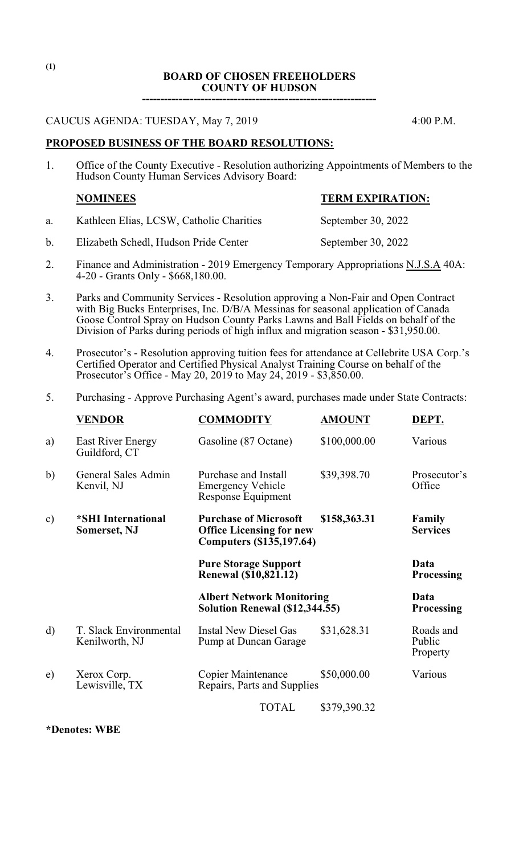#### **BOARD OF CHOSEN FREEHOLDERS COUNTY OF HUDSON**

**----------------------------------------------------------------**

CAUCUS AGENDA: TUESDAY, May 7, 2019 4:00 P.M.

### **PROPOSED BUSINESS OF THE BOARD RESOLUTIONS:**

1. Office of the County Executive - Resolution authorizing Appointments of Members to the Hudson County Human Services Advisory Board:

## **NOMINEES TERM EXPIRATION:**

- a. Kathleen Elias, LCSW, Catholic Charities September 30, 2022
- b. Elizabeth Schedl, Hudson Pride Center September 30, 2022
- 2. Finance and Administration 2019 Emergency Temporary Appropriations N.J.S.A 40A: 4-20 - Grants Only - \$668,180.00.
- 3. Parks and Community Services Resolution approving a Non-Fair and Open Contract with Big Bucks Enterprises, Inc. D/B/A Messinas for seasonal application of Canada Goose Control Spray on Hudson County Parks Lawns and Ball Fields on behalf of the Division of Parks during periods of high influx and migration season - \$31,950.00.
- 4. Prosecutor's Resolution approving tuition fees for attendance at Cellebrite USA Corp.'s Certified Operator and Certified Physical Analyst Training Course on behalf of the Prosecutor's Office - May 20, 2019 to May 24, 2019 - \$3,850.00.
- 5. Purchasing Approve Purchasing Agent's award, purchases made under State Contracts:

|               | <b>VENDOR</b>                             | <b>COMMODITY</b>                                                                                   | <b>AMOUNT</b> | DEPT.                           |
|---------------|-------------------------------------------|----------------------------------------------------------------------------------------------------|---------------|---------------------------------|
| a)            | <b>East River Energy</b><br>Guildford, CT | Gasoline (87 Octane)                                                                               | \$100,000.00  | Various                         |
| b)            | General Sales Admin<br>Kenvil, NJ         | Purchase and Install<br><b>Emergency Vehicle</b><br>Response Equipment                             | \$39,398.70   | Prosecutor's<br>Office          |
| $\mathbf{c})$ | *SHI International<br><b>Somerset, NJ</b> | <b>Purchase of Microsoft</b><br><b>Office Licensing for new</b><br><b>Computers (\$135,197.64)</b> | \$158,363.31  | Family<br><b>Services</b>       |
|               |                                           | <b>Pure Storage Support</b><br><b>Renewal (\$10,821.12)</b>                                        |               | Data<br><b>Processing</b>       |
|               |                                           | <b>Albert Network Monitoring</b><br>Solution Renewal (\$12,344.55)                                 |               | Data<br><b>Processing</b>       |
| d)            | T. Slack Environmental<br>Kenilworth, NJ  | <b>Instal New Diesel Gas</b><br>Pump at Duncan Garage                                              | \$31,628.31   | Roads and<br>Public<br>Property |
| e)            | Xerox Corp.<br>Lewisville, TX             | <b>Copier Maintenance</b><br>Repairs, Parts and Supplies                                           | \$50,000.00   | Various                         |
|               |                                           | <b>TOTAL</b>                                                                                       | \$379,390.32  |                                 |

**\*Denotes: WBE**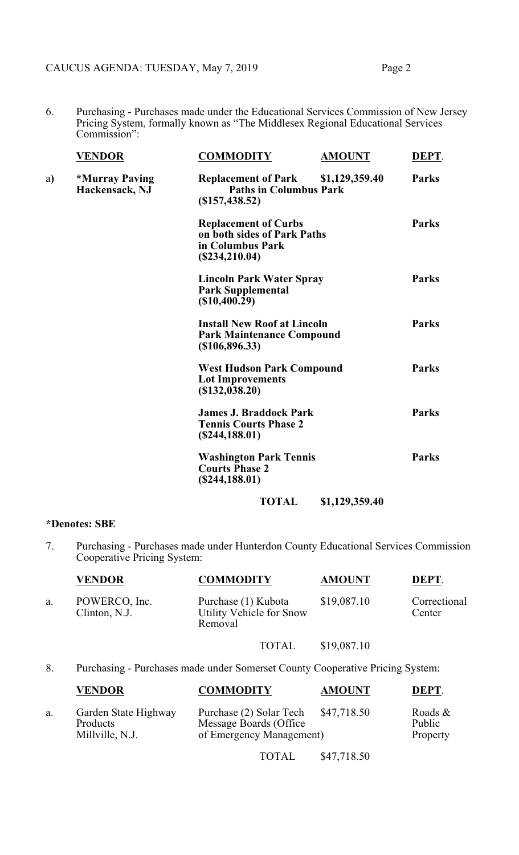6. Purchasing - Purchases made under the Educational Services Commission of New Jersey Pricing System, formally known as "The Middlesex Regional Educational Services Commission":

|    | <b>VENDOR</b>                                  | <b>COMMODITY</b><br><b>AMOUNT</b>                                                                | DEPT.        |
|----|------------------------------------------------|--------------------------------------------------------------------------------------------------|--------------|
| a) | <i><b>*Murray Paving</b></i><br>Hackensack, NJ | <b>Replacement of Park</b><br>\$1,129,359.40<br><b>Paths in Columbus Park</b><br>(\$157,438.52)  | <b>Parks</b> |
|    |                                                | <b>Replacement of Curbs</b><br>on both sides of Park Paths<br>in Columbus Park<br>(\$234,210.04) | <b>Parks</b> |
|    |                                                | <b>Lincoln Park Water Spray</b><br><b>Park Supplemental</b><br>(\$10,400.29)                     | <b>Parks</b> |
|    |                                                | <b>Install New Roof at Lincoln</b><br><b>Park Maintenance Compound</b><br>$(\$106, 896.33)$      | <b>Parks</b> |
|    |                                                | <b>West Hudson Park Compound</b><br><b>Lot Improvements</b><br>(\$132,038.20)                    | <b>Parks</b> |
|    |                                                | <b>James J. Braddock Park</b><br><b>Tennis Courts Phase 2</b><br>(\$244,188.01)                  | <b>Parks</b> |
|    |                                                | <b>Washington Park Tennis</b><br><b>Courts Phase 2</b><br>(\$244,188.01)                         | <b>Parks</b> |
|    |                                                | <b>TOTAL</b><br>\$1,129,359.40                                                                   |              |

#### **\*Denotes: SBE**

7. Purchasing - Purchases made under Hunterdon County Educational Services Commission Cooperative Pricing System:

|    | <b>VENDOR</b>                  | <b>COMMODITY</b>                                           | <b>AMOUNT</b> | DEPT.                  |
|----|--------------------------------|------------------------------------------------------------|---------------|------------------------|
| a. | POWERCO, Inc.<br>Clinton, N.J. | Purchase (1) Kubota<br>Utility Vehicle for Snow<br>Removal | \$19,087.10   | Correctional<br>Center |

# TOTAL \$19,087.10

8. Purchasing - Purchases made under Somerset County Cooperative Pricing System:

|    | <b>VENDOR</b>                                       | <b>COMMODITY</b>                                                              | <b>AMOUNT</b> | DEPT.                            |
|----|-----------------------------------------------------|-------------------------------------------------------------------------------|---------------|----------------------------------|
| a. | Garden State Highway<br>Products<br>Millville, N.J. | Purchase (2) Solar Tech<br>Message Boards (Office<br>of Emergency Management) | \$47,718.50   | Roads $\&$<br>Public<br>Property |

TOTAL \$47,718.50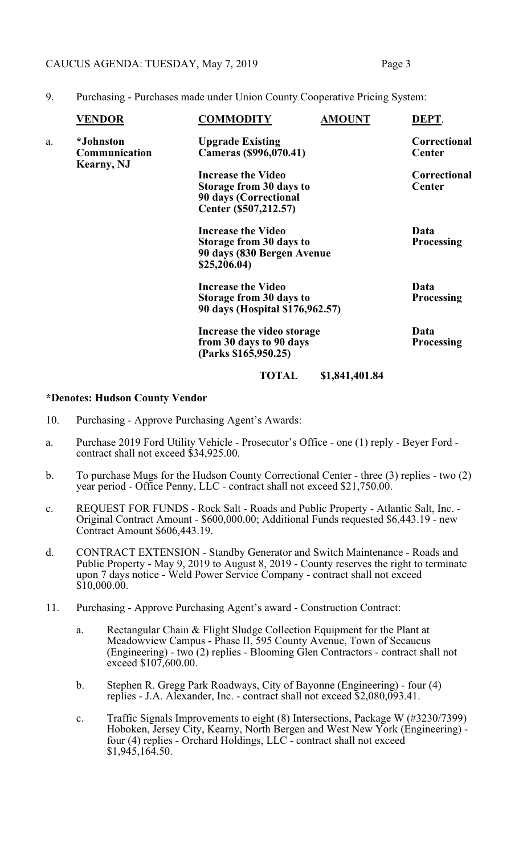### CAUCUS AGENDA: TUESDAY, May 7, 2019 Page 3

| <b>VENDOR</b>                     | <b>COMMODITY</b>                                  | <b>AMOUNT</b>                                                                   | DEPT.                                                                                                                                                                                                   |
|-----------------------------------|---------------------------------------------------|---------------------------------------------------------------------------------|---------------------------------------------------------------------------------------------------------------------------------------------------------------------------------------------------------|
| <i>*Johnston</i><br>Communication | <b>Upgrade Existing</b><br>Cameras (\$996,070.41) |                                                                                 | Correctional<br><b>Center</b>                                                                                                                                                                           |
|                                   |                                                   |                                                                                 | <b>Correctional</b>                                                                                                                                                                                     |
|                                   |                                                   |                                                                                 | <b>Center</b>                                                                                                                                                                                           |
|                                   |                                                   |                                                                                 |                                                                                                                                                                                                         |
|                                   | Center (\$507,212.57)                             |                                                                                 |                                                                                                                                                                                                         |
|                                   | <b>Increase the Video</b>                         |                                                                                 | Data                                                                                                                                                                                                    |
|                                   |                                                   |                                                                                 | <b>Processing</b>                                                                                                                                                                                       |
|                                   | \$25,206.04)                                      |                                                                                 |                                                                                                                                                                                                         |
|                                   |                                                   |                                                                                 | Data                                                                                                                                                                                                    |
|                                   |                                                   |                                                                                 |                                                                                                                                                                                                         |
|                                   |                                                   |                                                                                 | <b>Processing</b>                                                                                                                                                                                       |
|                                   |                                                   |                                                                                 |                                                                                                                                                                                                         |
|                                   |                                                   |                                                                                 | Data                                                                                                                                                                                                    |
|                                   |                                                   |                                                                                 | <b>Processing</b>                                                                                                                                                                                       |
|                                   | (Parks \$165,950.25)                              |                                                                                 |                                                                                                                                                                                                         |
|                                   | TOTAL                                             | \$1,841,401.84                                                                  |                                                                                                                                                                                                         |
|                                   | <b>Kearny, NJ</b>                                 | <b>Increase the Video</b><br>90 days (Correctional<br><b>Increase the Video</b> | Storage from 30 days to<br>Storage from 30 days to<br>90 days (830 Bergen Avenue<br>Storage from 30 days to<br>90 days (Hospital \$176,962.57)<br>Increase the video storage<br>from 30 days to 90 days |

9. Purchasing - Purchases made under Union County Cooperative Pricing System:

### **\*Denotes: Hudson County Vendor**

- 10. Purchasing Approve Purchasing Agent's Awards:
- a. Purchase 2019 Ford Utility Vehicle Prosecutor's Office one (1) reply Beyer Ford contract shall not exceed \$34,925.00.
- b. To purchase Mugs for the Hudson County Correctional Center three (3) replies two (2) year period - Office Penny, LLC - contract shall not exceed \$21,750.00.
- c. REQUEST FOR FUNDS Rock Salt Roads and Public Property Atlantic Salt, Inc. Original Contract Amount - \$600,000.00; Additional Funds requested \$6,443.19 - new Contract Amount \$606,443.19.
- d. CONTRACT EXTENSION Standby Generator and Switch Maintenance Roads and Public Property - May 9, 2019 to August 8, 2019 - County reserves the right to terminate upon 7 days notice - Weld Power Service Company - contract shall not exceed  $$10,000.00.$
- 11. Purchasing Approve Purchasing Agent's award Construction Contract:
	- a. Rectangular Chain & Flight Sludge Collection Equipment for the Plant at Meadowview Campus - Phase II, 595 County Avenue, Town of Secaucus (Engineering) - two (2) replies - Blooming Glen Contractors - contract shall not exceed \$107,600.00.
	- b. Stephen R. Gregg Park Roadways, City of Bayonne (Engineering) four (4) replies - J.A. Alexander, Inc. - contract shall not exceed \$2,080,093.41.
	- c. Traffic Signals Improvements to eight (8) Intersections, Package W (#3230/7399) Hoboken, Jersey City, Kearny, North Bergen and West New York (Engineering) four (4) replies - Orchard Holdings, LLC - contract shall not exceed \$1,945,164.50.